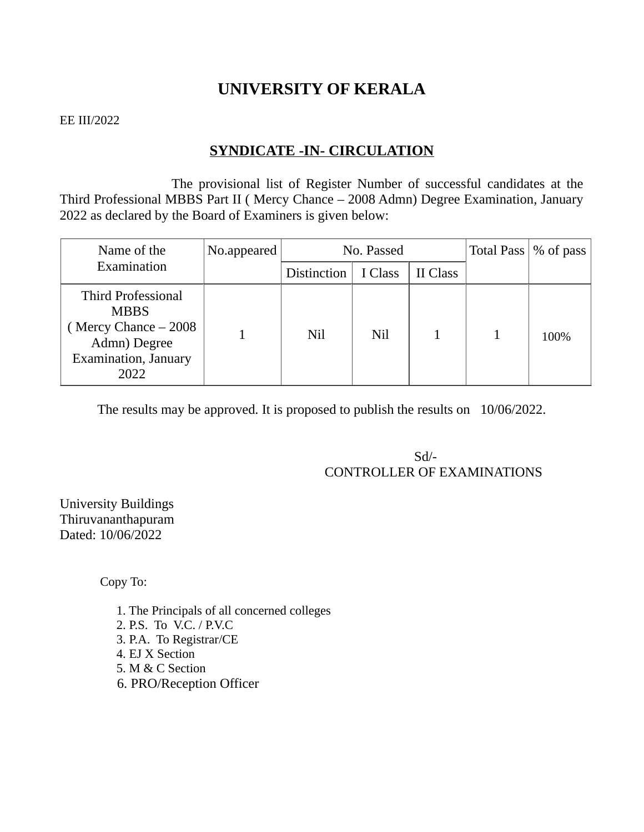## **UNIVERSITY OF KERALA**

#### EE III/2022

## **SYNDICATE -IN- CIRCULATION**

The provisional list of Register Number of successful candidates at the Third Professional MBBS Part II ( Mercy Chance – 2008 Admn) Degree Examination, January 2022 as declared by the Board of Examiners is given below:

| Name of the<br>Examination                                                                                        | No.appeared | No. Passed         |         |          | Total Pass   % of pass |
|-------------------------------------------------------------------------------------------------------------------|-------------|--------------------|---------|----------|------------------------|
|                                                                                                                   |             | <b>Distinction</b> | I Class | II Class |                        |
| <b>Third Professional</b><br><b>MBBS</b><br>(Mercy Chance – 2008)<br>Admn) Degree<br>Examination, January<br>2022 |             | Nil                | Nil     |          | 100%                   |

The results may be approved. It is proposed to publish the results on 10/06/2022.

 Sd/- CONTROLLER OF EXAMINATIONS

University Buildings Thiruvananthapuram Dated: 10/06/2022

Copy To:

1. The Principals of all concerned colleges 2. P.S. To V.C. / P.V.C 3. P.A. To Registrar/CE 4. EJ X Section 5. M & C Section 6. PRO/Reception Officer